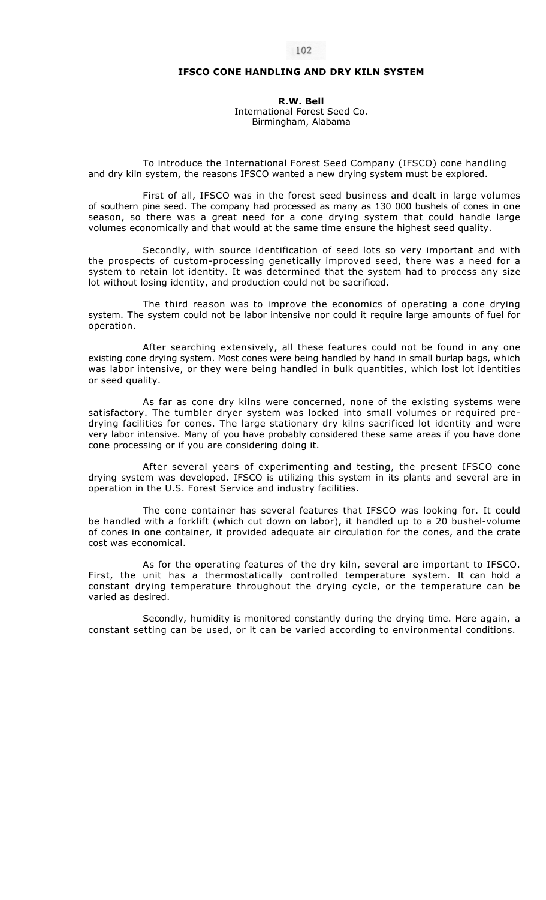## **IFSCO CONE HANDLING AND DRY KILN SYSTEM**

**R.W. Bell**  International Forest Seed Co. Birmingham, Alabama

To introduce the International Forest Seed Company (IFSCO) cone handling and dry kiln system, the reasons IFSCO wanted a new drying system must be explored.

First of all, IFSCO was in the forest seed business and dealt in large volumes of southern pine seed. The company had processed as many as 130 000 bushels of cones in one season, so there was a great need for a cone drying system that could handle large volumes economically and that would at the same time ensure the highest seed quality.

Secondly, with source identification of seed lots so very important and with the prospects of custom-processing genetically improved seed, there was a need for a system to retain lot identity. It was determined that the system had to process any size lot without losing identity, and production could not be sacrificed.

The third reason was to improve the economics of operating a cone drying system. The system could not be labor intensive nor could it require large amounts of fuel for operation.

After searching extensively, all these features could not be found in any one existing cone drying system. Most cones were being handled by hand in small burlap bags, which was labor intensive, or they were being handled in bulk quantities, which lost lot identities or seed quality.

As far as cone dry kilns were concerned, none of the existing systems were satisfactory. The tumbler dryer system was locked into small volumes or required predrying facilities for cones. The large stationary dry kilns sacrificed lot identity and were very labor intensive. Many of you have probably considered these same areas if you have done cone processing or if you are considering doing it.

After several years of experimenting and testing, the present IFSCO cone drying system was developed. IFSCO is utilizing this system in its plants and several are in operation in the U.S. Forest Service and industry facilities.

The cone container has several features that IFSCO was looking for. It could be handled with a forklift (which cut down on labor), it handled up to a 20 bushel-volume of cones in one container, it provided adequate air circulation for the cones, and the crate cost was economical.

As for the operating features of the dry kiln, several are important to IFSCO. First, the unit has a thermostatically controlled temperature system. It can hold a constant drying temperature throughout the drying cycle, or the temperature can be varied as desired.

Secondly, humidity is monitored constantly during the drying time. Here again, a constant setting can be used, or it can be varied according to environmental conditions.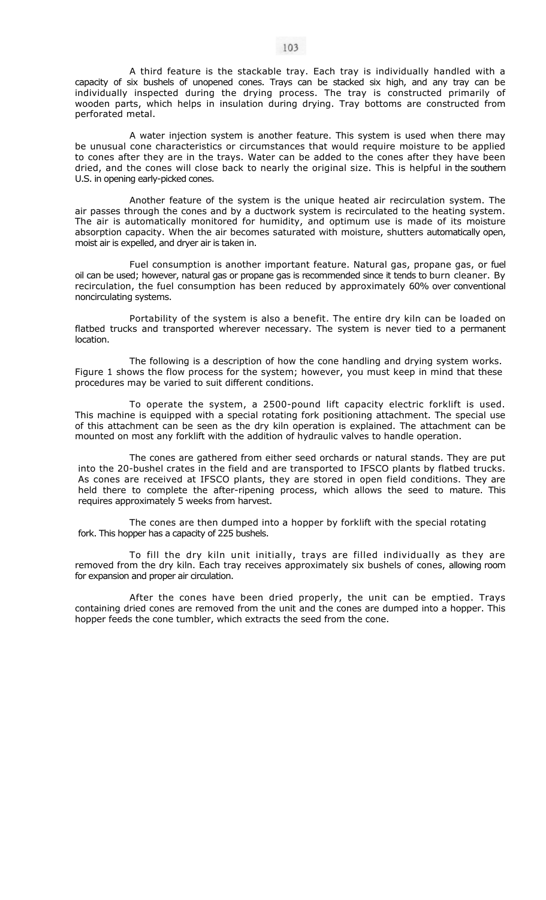A third feature is the stackable tray. Each tray is individually handled with a capacity of six bushels of unopened cones. Trays can be stacked six high, and any tray can be individually inspected during the drying process. The tray is constructed primarily of wooden parts, which helps in insulation during drying. Tray bottoms are constructed from perforated metal.

A water injection system is another feature. This system is used when there may be unusual cone characteristics or circumstances that would require moisture to be applied to cones after they are in the trays. Water can be added to the cones after they have been dried, and the cones will close back to nearly the original size. This is helpful in the southern U.S. in opening early-picked cones.

Another feature of the system is the unique heated air recirculation system. The air passes through the cones and by a ductwork system is recirculated to the heating system. The air is automatically monitored for humidity, and optimum use is made of its moisture absorption capacity. When the air becomes saturated with moisture, shutters automatically open, moist air is expelled, and dryer air is taken in.

Fuel consumption is another important feature. Natural gas, propane gas, or fuel oil can be used; however, natural gas or propane gas is recommended since it tends to burn cleaner. By recirculation, the fuel consumption has been reduced by approximately 60% over conventional noncirculating systems.

Portability of the system is also a benefit. The entire dry kiln can be loaded on flatbed trucks and transported wherever necessary. The system is never tied to a permanent location.

The following is a description of how the cone handling and drying system works. Figure 1 shows the flow process for the system; however, you must keep in mind that these procedures may be varied to suit different conditions.

To operate the system, a 2500-pound lift capacity electric forklift is used. This machine is equipped with a special rotating fork positioning attachment. The special use of this attachment can be seen as the dry kiln operation is explained. The attachment can be mounted on most any forklift with the addition of hydraulic valves to handle operation.

The cones are gathered from either seed orchards or natural stands. They are put into the 20-bushel crates in the field and are transported to IFSCO plants by flatbed trucks. As cones are received at IFSCO plants, they are stored in open field conditions. They are held there to complete the after-ripening process, which allows the seed to mature. This requires approximately 5 weeks from harvest.

The cones are then dumped into a hopper by forklift with the special rotating fork. This hopper has a capacity of 225 bushels.

To fill the dry kiln unit initially, trays are filled individually as they are removed from the dry kiln. Each tray receives approximately six bushels of cones, allowing room for expansion and proper air circulation.

After the cones have been dried properly, the unit can be emptied. Trays containing dried cones are removed from the unit and the cones are dumped into a hopper. This hopper feeds the cone tumbler, which extracts the seed from the cone.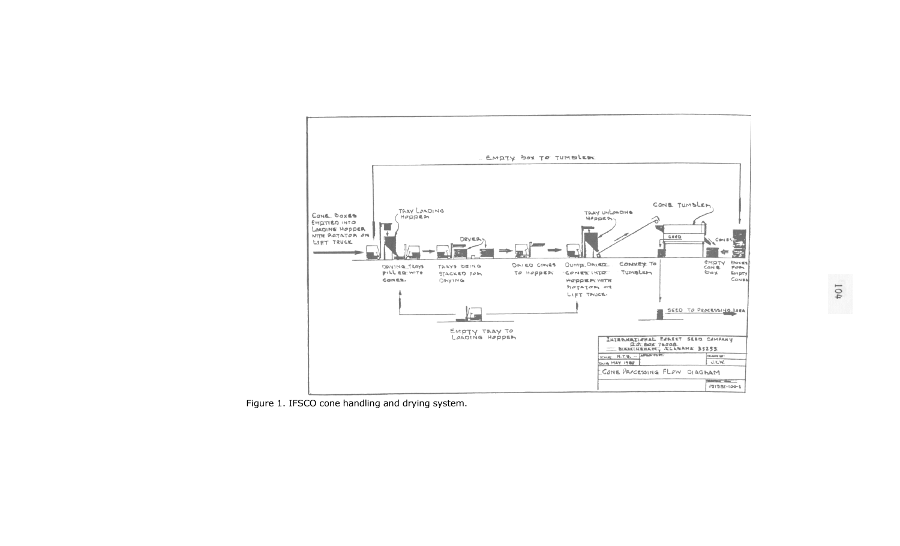

Figure 1. IFSCO cone handling and drying system.